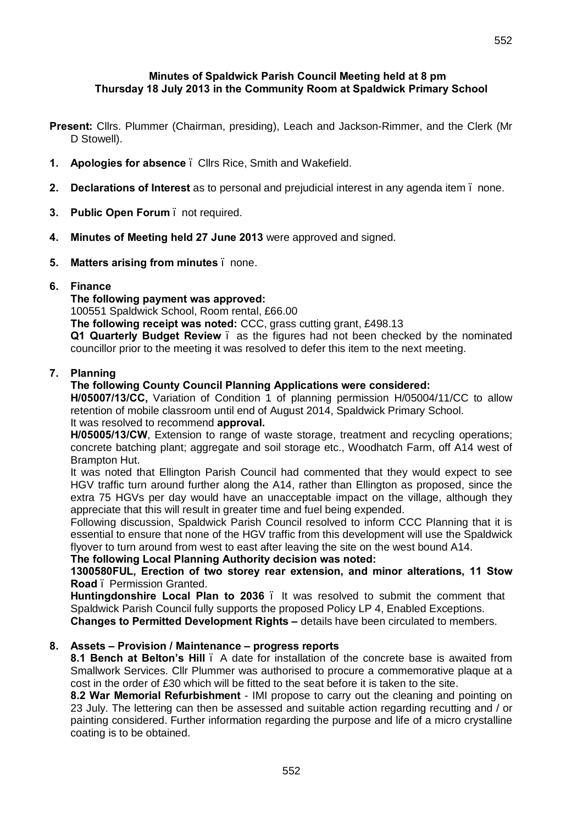### **Minutes of Spaldwick Parish Council Meeting held at 8 pm Thursday 18 July 2013 in the Community Room at Spaldwick Primary School**

- **Present:** Cllrs. Plummer (Chairman, presiding), Leach and Jackson-Rimmer, and the Clerk (Mr D Stowell).
- **1. Apologies for absence**  Cllrs Rice, Smith and Wakefield.
- **2. Declarations of Interest** as to personal and prejudicial interest in any agenda item none.
- **3. Public Open Forum**  not required.
- **4. Minutes of Meeting held 27 June 2013** were approved and signed.
- **5. Matters arising from minutes**  none.
- **6. Finance**

**The following payment was approved:** 

100551 Spaldwick School, Room rental, £66.00

**The following receipt was noted:** CCC, grass cutting grant, £498.13

**Q1 Quarterly Budget Review** – as the figures had not been checked by the nominated councillor prior to the meeting it was resolved to defer this item to the next meeting.

## **7. Planning**

## **The following County Council Planning Applications were considered:**

**H/05007/13/CC,** Variation of Condition 1 of planning permission H/05004/11/CC to allow retention of mobile classroom until end of August 2014, Spaldwick Primary School. It was resolved to recommend **approval.**

**H/05005/13/CW**, Extension to range of waste storage, treatment and recycling operations; concrete batching plant; aggregate and soil storage etc., Woodhatch Farm, off A14 west of Brampton Hut.

It was noted that Ellington Parish Council had commented that they would expect to see HGV traffic turn around further along the A14, rather than Ellington as proposed, since the extra 75 HGVs per day would have an unacceptable impact on the village, although they appreciate that this will result in greater time and fuel being expended.

Following discussion, Spaldwick Parish Council resolved to inform CCC Planning that it is essential to ensure that none of the HGV traffic from this development will use the Spaldwick flyover to turn around from west to east after leaving the site on the west bound A14.

**The following Local Planning Authority decision was noted:**

**1300580FUL, Erection of two storey rear extension, and minor alterations, 11 Stow Road** – Permission Granted.

**Huntingdonshire Local Plan to 2036** – It was resolved to submit the comment that Spaldwick Parish Council fully supports the proposed Policy LP 4, Enabled Exceptions.

**Changes to Permitted Development Rights –** details have been circulated to members.

## **8. Assets – Provision / Maintenance – progress reports**

**8.1 Bench at Belton's Hill** – A date for installation of the concrete base is awaited from Smallwork Services. Cllr Plummer was authorised to procure a commemorative plaque at a cost in the order of £30 which will be fitted to the seat before it is taken to the site.

**8.2 War Memorial Refurbishment** - IMI propose to carry out the cleaning and pointing on 23 July. The lettering can then be assessed and suitable action regarding recutting and / or painting considered. Further information regarding the purpose and life of a micro crystalline coating is to be obtained.